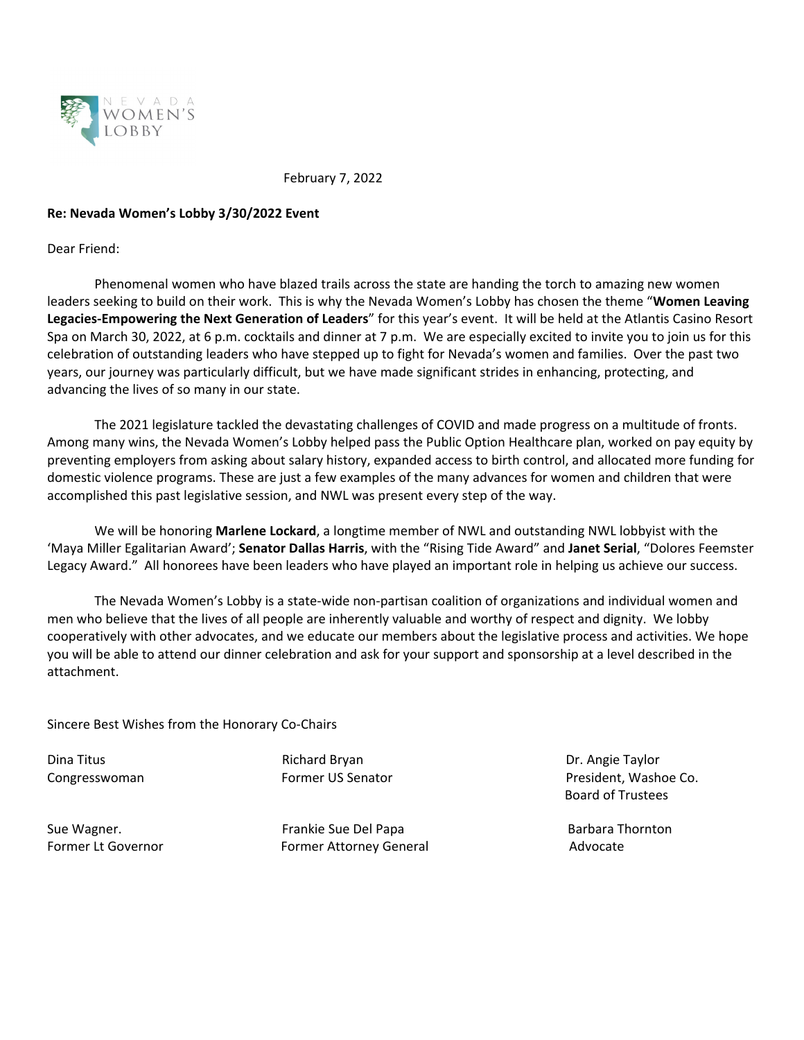

February 7, 2022

## **Re: Nevada Women's Lobby 3/30/2022 Event**

Dear Friend:

Phenomenal women who have blazed trails across the state are handing the torch to amazing new women leaders seeking to build on their work. This is why the Nevada Women's Lobby has chosen the theme "**Women Leaving Legacies‐Empowering the Next Generation of Leaders**" for this year's event. It will be held at the Atlantis Casino Resort Spa on March 30, 2022, at 6 p.m. cocktails and dinner at 7 p.m. We are especially excited to invite you to join us for this celebration of outstanding leaders who have stepped up to fight for Nevada's women and families. Over the past two years, our journey was particularly difficult, but we have made significant strides in enhancing, protecting, and advancing the lives of so many in our state.

The 2021 legislature tackled the devastating challenges of COVID and made progress on a multitude of fronts. Among many wins, the Nevada Women's Lobby helped pass the Public Option Healthcare plan, worked on pay equity by preventing employers from asking about salary history, expanded access to birth control, and allocated more funding for domestic violence programs. These are just a few examples of the many advances for women and children that were accomplished this past legislative session, and NWL was present every step of the way.

We will be honoring **Marlene Lockard**, a longtime member of NWL and outstanding NWL lobbyist with the 'Maya Miller Egalitarian Award'; **Senator Dallas Harris**, with the "Rising Tide Award" and **Janet Serial**, "Dolores Feemster Legacy Award." All honorees have been leaders who have played an important role in helping us achieve our success.

The Nevada Women's Lobby is a state‐wide non‐partisan coalition of organizations and individual women and men who believe that the lives of all people are inherently valuable and worthy of respect and dignity. We lobby cooperatively with other advocates, and we educate our members about the legislative process and activities. We hope you will be able to attend our dinner celebration and ask for your support and sponsorship at a level described in the attachment.

Sincere Best Wishes from the Honorary Co‐Chairs

Dina Titus Richard Bryan Dr. Angie Taylor

Sue Wagner. Frankie Sue Del Papa Barbara Thornton Former Lt Governor **Business Commer Attorney General** The Superson and Advocate

Congresswoman Former US Senator President, Washoe Co. Board of Trustees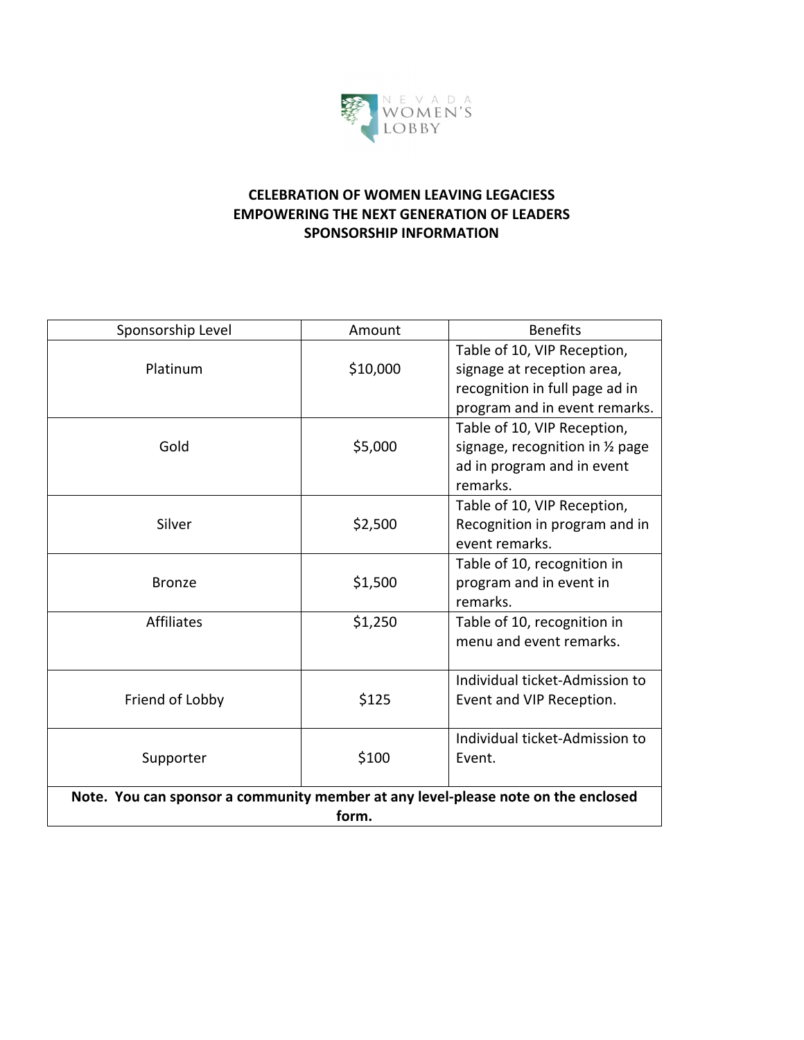

## **CELEBRATION OF WOMEN LEAVING LEGACIESS EMPOWERING THE NEXT GENERATION OF LEADERS SPONSORSHIP INFORMATION**

| Sponsorship Level                                                                 | Amount   | <b>Benefits</b>                  |
|-----------------------------------------------------------------------------------|----------|----------------------------------|
|                                                                                   |          | Table of 10, VIP Reception,      |
| Platinum                                                                          | \$10,000 | signage at reception area,       |
|                                                                                   |          | recognition in full page ad in   |
|                                                                                   |          | program and in event remarks.    |
|                                                                                   |          | Table of 10, VIP Reception,      |
| Gold                                                                              | \$5,000  | signage, recognition in 1/2 page |
|                                                                                   |          | ad in program and in event       |
|                                                                                   |          | remarks.                         |
|                                                                                   |          | Table of 10, VIP Reception,      |
| Silver                                                                            | \$2,500  | Recognition in program and in    |
|                                                                                   |          | event remarks.                   |
|                                                                                   |          | Table of 10, recognition in      |
| <b>Bronze</b>                                                                     | \$1,500  | program and in event in          |
|                                                                                   |          | remarks.                         |
| <b>Affiliates</b>                                                                 | \$1,250  | Table of 10, recognition in      |
|                                                                                   |          | menu and event remarks.          |
|                                                                                   |          | Individual ticket-Admission to   |
| Friend of Lobby                                                                   | \$125    | Event and VIP Reception.         |
|                                                                                   |          |                                  |
|                                                                                   |          | Individual ticket-Admission to   |
| Supporter                                                                         | \$100    | Event.                           |
|                                                                                   |          |                                  |
| Note. You can sponsor a community member at any level-please note on the enclosed |          |                                  |
|                                                                                   | form.    |                                  |